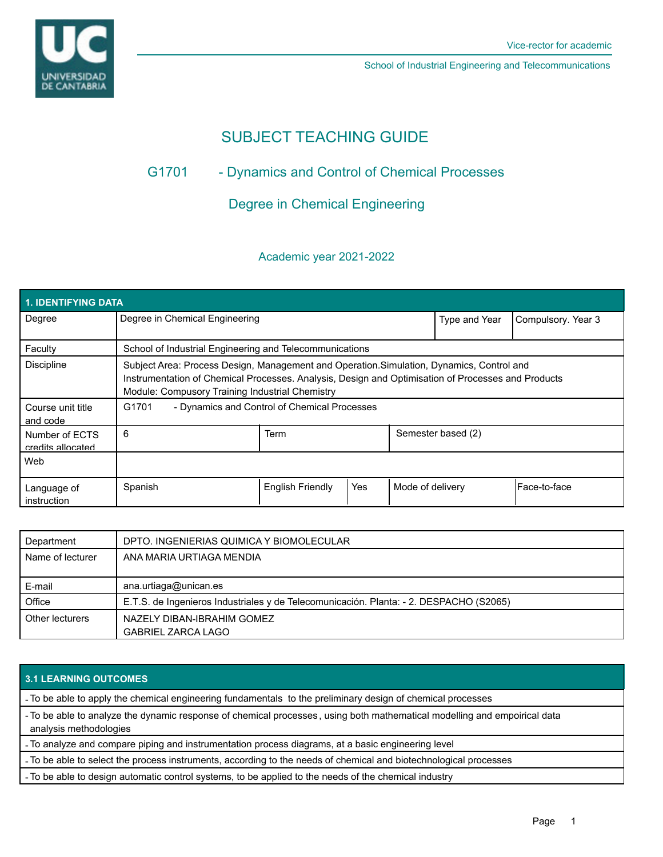

School of Industrial Engineering and Telecommunications

# SUBJECT TEACHING GUIDE

# G1701 - Dynamics and Control of Chemical Processes

# Degree in Chemical Engineering

## Academic year 2021-2022

| <b>1. IDENTIFYING DATA</b>          |                                                                                                                                                                                                                                                    |                         |     |                  |                    |                    |  |  |  |
|-------------------------------------|----------------------------------------------------------------------------------------------------------------------------------------------------------------------------------------------------------------------------------------------------|-------------------------|-----|------------------|--------------------|--------------------|--|--|--|
| Degree                              | Degree in Chemical Engineering                                                                                                                                                                                                                     |                         |     |                  | Type and Year      | Compulsory. Year 3 |  |  |  |
| Faculty                             | School of Industrial Engineering and Telecommunications                                                                                                                                                                                            |                         |     |                  |                    |                    |  |  |  |
| <b>Discipline</b>                   | Subject Area: Process Design, Management and Operation. Simulation, Dynamics, Control and<br>Instrumentation of Chemical Processes. Analysis, Design and Optimisation of Processes and Products<br>Module: Compusory Training Industrial Chemistry |                         |     |                  |                    |                    |  |  |  |
| Course unit title<br>and code       | G1701<br>- Dynamics and Control of Chemical Processes                                                                                                                                                                                              |                         |     |                  |                    |                    |  |  |  |
| Number of ECTS<br>credits allocated | 6                                                                                                                                                                                                                                                  | Term                    |     |                  | Semester based (2) |                    |  |  |  |
| Web                                 |                                                                                                                                                                                                                                                    |                         |     |                  |                    |                    |  |  |  |
| Language of<br>instruction          | Spanish                                                                                                                                                                                                                                            | <b>English Friendly</b> | Yes | Mode of delivery |                    | Face-to-face       |  |  |  |

| Department       | DPTO. INGENIERIAS QUIMICA Y BIOMOLECULAR                                               |  |
|------------------|----------------------------------------------------------------------------------------|--|
| Name of lecturer | ANA MARIA URTIAGA MENDIA                                                               |  |
|                  |                                                                                        |  |
| E-mail           | ana.urtiaga@unican.es                                                                  |  |
| Office           | E.T.S. de Ingenieros Industriales y de Telecomunicación. Planta: - 2. DESPACHO (S2065) |  |
| Other lecturers  | NAZELY DIBAN-IBRAHIM GOMEZ                                                             |  |
|                  | <b>GABRIEL ZARCA LAGO</b>                                                              |  |

### **3.1 LEARNING OUTCOMES**

- To be able to apply the chemical engineering fundamentals to the preliminary design of chemical processes

- To be able to analyze the dynamic response of chemical processes , using both mathematical modelling and empoirical data analysis methodologies

- To analyze and compare piping and instrumentation process diagrams, at a basic engineering level

- To be able to select the process instruments, according to the needs of chemical and biotechnological processes

- To be able to design automatic control systems, to be applied to the needs of the chemical industry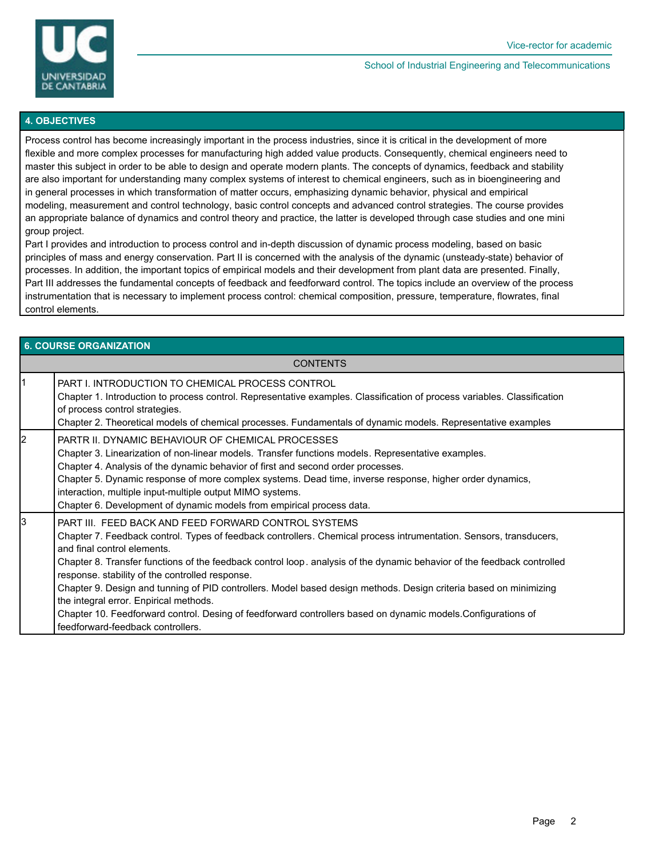

#### School of Industrial Engineering and Telecommunications

#### **4. OBJECTIVES**

Process control has become increasingly important in the process industries, since it is critical in the development of more flexible and more complex processes for manufacturing high added value products. Consequently, chemical engineers need to master this subject in order to be able to design and operate modern plants. The concepts of dynamics, feedback and stability are also important for understanding many complex systems of interest to chemical engineers, such as in bioengineering and in general processes in which transformation of matter occurs, emphasizing dynamic behavior, physical and empirical modeling, measurement and control technology, basic control concepts and advanced control strategies. The course provides an appropriate balance of dynamics and control theory and practice, the latter is developed through case studies and one mini group project.

Part I provides and introduction to process control and in-depth discussion of dynamic process modeling, based on basic principles of mass and energy conservation. Part II is concerned with the analysis of the dynamic (unsteady-state) behavior of processes. In addition, the important topics of empirical models and their development from plant data are presented. Finally, Part III addresses the fundamental concepts of feedback and feedforward control. The topics include an overview of the process instrumentation that is necessary to implement process control: chemical composition, pressure, temperature, flowrates, final control elements.

| <b>6. COURSE ORGANIZATION</b> |                                                                                                                                                                                                                                                                                                                                                                                                                                                                                                                                                                                                                                                                                                             |  |  |  |
|-------------------------------|-------------------------------------------------------------------------------------------------------------------------------------------------------------------------------------------------------------------------------------------------------------------------------------------------------------------------------------------------------------------------------------------------------------------------------------------------------------------------------------------------------------------------------------------------------------------------------------------------------------------------------------------------------------------------------------------------------------|--|--|--|
| <b>CONTENTS</b>               |                                                                                                                                                                                                                                                                                                                                                                                                                                                                                                                                                                                                                                                                                                             |  |  |  |
| $\vert$ 1                     | PART I. INTRODUCTION TO CHEMICAL PROCESS CONTROL<br>Chapter 1. Introduction to process control. Representative examples. Classification of process variables. Classification<br>of process control strategies.<br>Chapter 2. Theoretical models of chemical processes. Fundamentals of dynamic models. Representative examples                                                                                                                                                                                                                                                                                                                                                                              |  |  |  |
| $\overline{2}$                | PARTR II. DYNAMIC BEHAVIOUR OF CHEMICAL PROCESSES<br>Chapter 3. Linearization of non-linear models. Transfer functions models. Representative examples.<br>Chapter 4. Analysis of the dynamic behavior of first and second order processes.<br>Chapter 5. Dynamic response of more complex systems. Dead time, inverse response, higher order dynamics,<br>interaction, multiple input-multiple output MIMO systems.<br>Chapter 6. Development of dynamic models from empirical process data.                                                                                                                                                                                                               |  |  |  |
| 3                             | PART III. FEED BACK AND FEED FORWARD CONTROL SYSTEMS<br>Chapter 7. Feedback control. Types of feedback controllers. Chemical process intrumentation. Sensors, transducers,<br>and final control elements.<br>Chapter 8. Transfer functions of the feedback control loop, analysis of the dynamic behavior of the feedback controlled<br>response. stability of the controlled response.<br>Chapter 9. Design and tunning of PID controllers. Model based design methods. Design criteria based on minimizing<br>the integral error. Enpirical methods.<br>Chapter 10. Feedforward control. Desing of feedforward controllers based on dynamic models.Configurations of<br>feedforward-feedback controllers. |  |  |  |